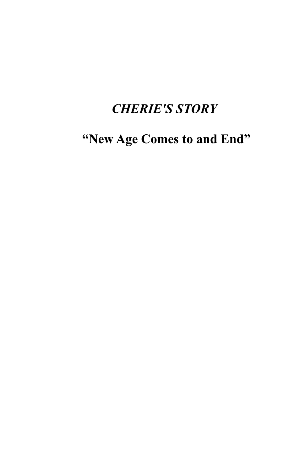## *CHERIE'S STORY*

**"New Age Comes to and End"**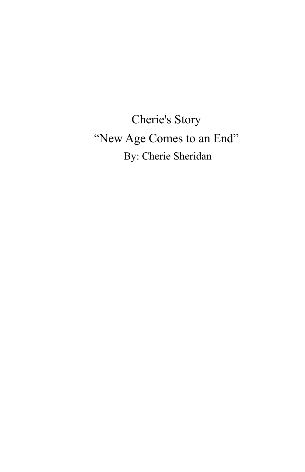Cherie's Story "New Age Comes to an End" By: Cherie Sheridan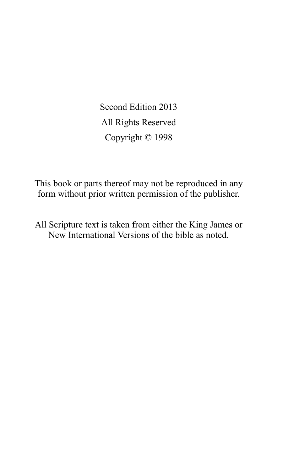Second Edition 2013 All Rights Reserved Copyright © 1998

This book or parts thereof may not be reproduced in any form without prior written permission of the publisher.

All Scripture text is taken from either the King James or New International Versions of the bible as noted.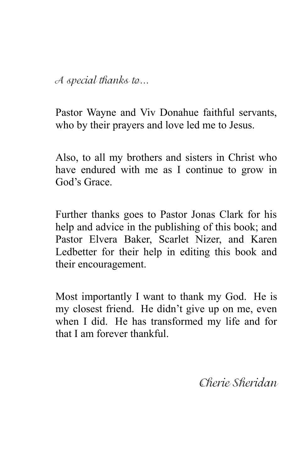A special thanks to…

Pastor Wayne and Viv Donahue faithful servants, who by their prayers and love led me to Jesus.

Also, to all my brothers and sisters in Christ who have endured with me as I continue to grow in God's Grace.

Further thanks goes to Pastor Jonas Clark for his help and advice in the publishing of this book; and Pastor Elvera Baker, Scarlet Nizer, and Karen Ledbetter for their help in editing this book and their encouragement.

Most importantly I want to thank my God. He is my closest friend. He didn't give up on me, even when I did. He has transformed my life and for that I am forever thankful.

Cherie Sheridan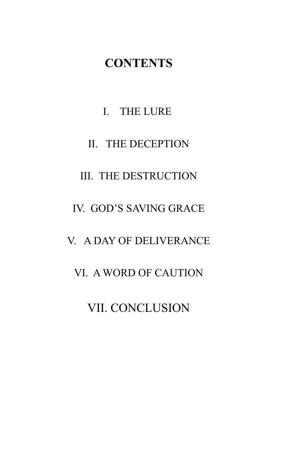## **CONTENTS**

## I. THE LURE

## II. THE DECEPTION

## III. THE DESTRUCTION

## IV. GOD'S SAVING GRACE

## V. A DAY OF DELIVERANCE

## VI. A WORD OF CAUTION

## VII. CONCLUSION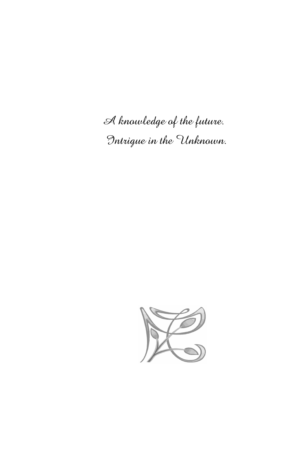A knowledge of the future. Intrigue in the Unknown.

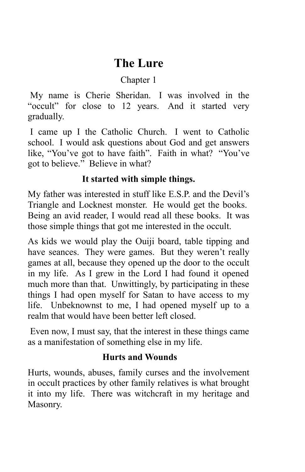## **The Lure**

## Chapter 1

My name is Cherie Sheridan. I was involved in the "occult" for close to 12 years. And it started very gradually.

I came up I the Catholic Church. I went to Catholic school. I would ask questions about God and get answers like, "You've got to have faith". Faith in what? "You've got to believe." Believe in what?

## **It started with simple things.**

My father was interested in stuff like E.S.P. and the Devil's Triangle and Locknest monster. He would get the books. Being an avid reader, I would read all these books. It was those simple things that got me interested in the occult.

As kids we would play the Ouiji board, table tipping and have seances. They were games. But they weren't really games at all, because they opened up the door to the occult in my life. As I grew in the Lord I had found it opened much more than that. Unwittingly, by participating in these things I had open myself for Satan to have access to my life. Unbeknownst to me, I had opened myself up to a realm that would have been better left closed.

Even now, I must say, that the interest in these things came as a manifestation of something else in my life.

## **Hurts and Wounds**

Hurts, wounds, abuses, family curses and the involvement in occult practices by other family relatives is what brought it into my life. There was witchcraft in my heritage and Masonry.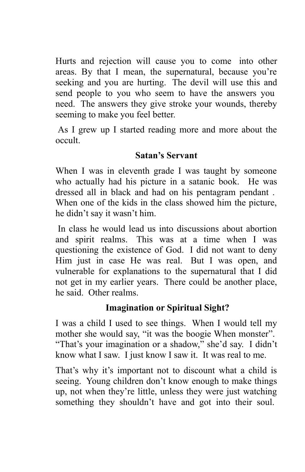Hurts and rejection will cause you to come into other areas. By that I mean, the supernatural, because you're seeking and you are hurting. The devil will use this and send people to you who seem to have the answers you need. The answers they give stroke your wounds, thereby seeming to make you feel better.

As I grew up I started reading more and more about the occult.

## **Satan's Servant**

When I was in eleventh grade I was taught by someone who actually had his picture in a satanic book. He was dressed all in black and had on his pentagram pendant . When one of the kids in the class showed him the picture, he didn't say it wasn't him.

In class he would lead us into discussions about abortion and spirit realms. This was at a time when I was questioning the existence of God. I did not want to deny Him just in case He was real. But I was open, and vulnerable for explanations to the supernatural that I did not get in my earlier years. There could be another place, he said. Other realms.

## **Imagination or Spiritual Sight?**

I was a child I used to see things. When I would tell my mother she would say, "it was the boogie When monster". "That's your imagination or a shadow," she'd say. I didn't know what I saw. I just know I saw it. It was real to me.

That's why it's important not to discount what a child is seeing. Young children don't know enough to make things up, not when they're little, unless they were just watching something they shouldn't have and got into their soul.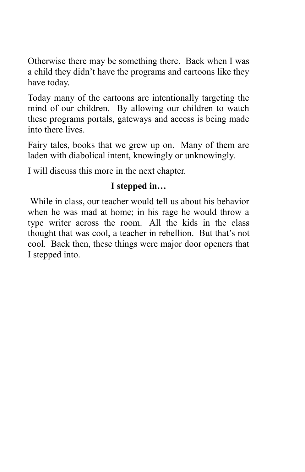Otherwise there may be something there. Back when I was a child they didn't have the programs and cartoons like they have today.

Today many of the cartoons are intentionally targeting the mind of our children. By allowing our children to watch these programs portals, gateways and access is being made into there lives.

Fairy tales, books that we grew up on. Many of them are laden with diabolical intent, knowingly or unknowingly.

I will discuss this more in the next chapter.

## **I stepped in…**

While in class, our teacher would tell us about his behavior when he was mad at home; in his rage he would throw a type writer across the room. All the kids in the class thought that was cool, a teacher in rebellion. But that's not cool. Back then, these things were major door openers that I stepped into.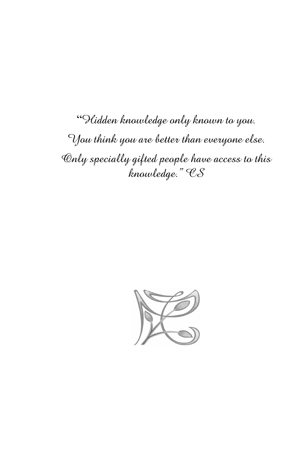"Hidden knowledge only known to you. You think you are better than everyone else. Only specially gifted people have access to this knowledge." CS

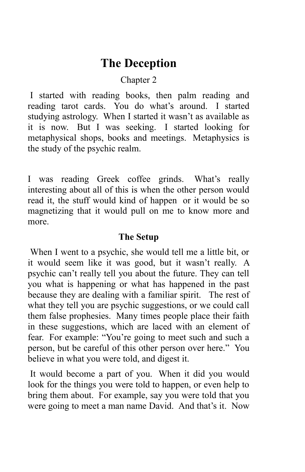## **The Deception**

#### Chapter 2

I started with reading books, then palm reading and reading tarot cards. You do what's around. I started studying astrology. When I started it wasn't as available as it is now. But I was seeking. I started looking for metaphysical shops, books and meetings. Metaphysics is the study of the psychic realm.

I was reading Greek coffee grinds. What's really interesting about all of this is when the other person would read it, the stuff would kind of happen or it would be so magnetizing that it would pull on me to know more and more.

#### **The Setup**

When I went to a psychic, she would tell me a little bit, or it would seem like it was good, but it wasn't really. A psychic can't really tell you about the future. They can tell you what is happening or what has happened in the past because they are dealing with a familiar spirit. The rest of what they tell you are psychic suggestions, or we could call them false prophesies. Many times people place their faith in these suggestions, which are laced with an element of fear. For example: "You're going to meet such and such a person, but be careful of this other person over here." You believe in what you were told, and digest it.

It would become a part of you. When it did you would look for the things you were told to happen, or even help to bring them about. For example, say you were told that you were going to meet a man name David. And that's it. Now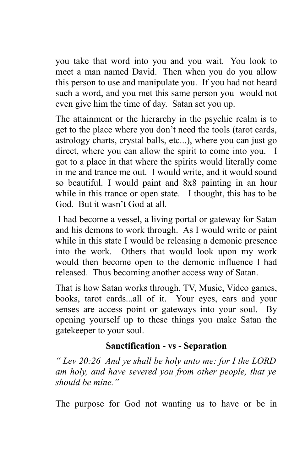you take that word into you and you wait. You look to meet a man named David. Then when you do you allow this person to use and manipulate you. If you had not heard such a word, and you met this same person you would not even give him the time of day. Satan set you up.

The attainment or the hierarchy in the psychic realm is to get to the place where you don't need the tools (tarot cards, astrology charts, crystal balls, etc...), where you can just go direct, where you can allow the spirit to come into you. I got to a place in that where the spirits would literally come in me and trance me out. I would write, and it would sound so beautiful. I would paint and 8x8 painting in an hour while in this trance or open state. I thought, this has to be God. But it wasn't God at all.

I had become a vessel, a living portal or gateway for Satan and his demons to work through. As I would write or paint while in this state I would be releasing a demonic presence into the work. Others that would look upon my work would then become open to the demonic influence I had released. Thus becoming another access way of Satan.

That is how Satan works through, TV, Music, Video games, books, tarot cards...all of it. Your eyes, ears and your senses are access point or gateways into your soul. By opening yourself up to these things you make Satan the gatekeeper to your soul.

## **Sanctification - vs - Separation**

*" Lev 20:26 And ye shall be holy unto me: for I the LORD am holy, and have severed you from other people, that ye should be mine."*

The purpose for God not wanting us to have or be in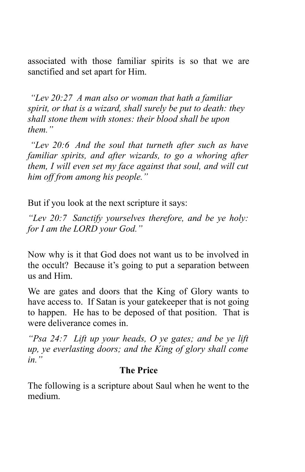associated with those familiar spirits is so that we are sanctified and set apart for Him.

*"Lev 20:27 A man also or woman that hath a familiar spirit, or that is a wizard, shall surely be put to death: they shall stone them with stones: their blood shall be upon them."*

*"Lev 20:6 And the soul that turneth after such as have familiar spirits, and after wizards, to go a whoring after them, I will even set my face against that soul, and will cut him off from among his people."*

But if you look at the next scripture it says:

*"Lev 20:7 Sanctify yourselves therefore, and be ye holy: for I am the LORD your God."*

Now why is it that God does not want us to be involved in the occult? Because it's going to put a separation between us and Him.

We are gates and doors that the King of Glory wants to have access to. If Satan is your gatekeeper that is not going to happen. He has to be deposed of that position. That is were deliverance comes in.

*"Psa 24:7 Lift up your heads, O ye gates; and be ye lift up, ye everlasting doors; and the King of glory shall come in."*

#### **The Price**

The following is a scripture about Saul when he went to the medium.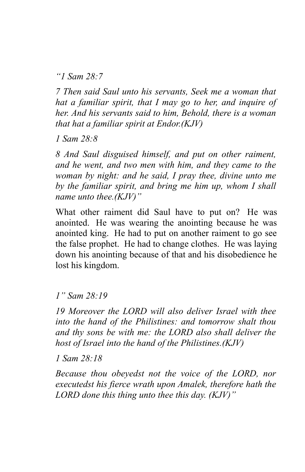*"1 Sam 28:7*

*7 Then said Saul unto his servants, Seek me a woman that hat a familiar spirit, that I may go to her, and inquire of her. And his servants said to him, Behold, there is a woman that hat a familiar spirit at Endor.(KJV)*

*1 Sam 28:8*

*8 And Saul disguised himself, and put on other raiment, and he went, and two men with him, and they came to the woman by night: and he said, I pray thee, divine unto me by the familiar spirit, and bring me him up, whom I shall name unto thee.(KJV)"*

What other raiment did Saul have to put on? He was anointed. He was wearing the anointing because he was anointed king. He had to put on another raiment to go see the false prophet. He had to change clothes. He was laying down his anointing because of that and his disobedience he lost his kingdom.

*1" Sam 28:19*

*19 Moreover the LORD will also deliver Israel with thee into the hand of the Philistines: and tomorrow shalt thou and thy sons be with me: the LORD also shall deliver the host of Israel into the hand of the Philistines.(KJV)*

*1 Sam 28:18*

*Because thou obeyedst not the voice of the LORD, nor executedst his fierce wrath upon Amalek, therefore hath the LORD done this thing unto thee this day. (KJV)"*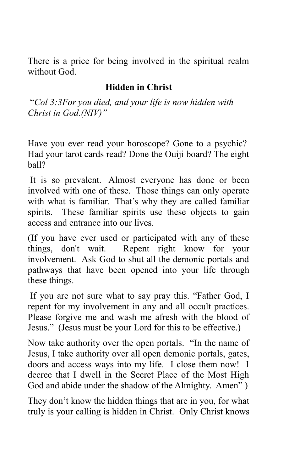There is a price for being involved in the spiritual realm without God.

## **Hidden in Christ**

"*Col 3:3For you died, and your life is now hidden with Christ in God.(NIV)"*

Have you ever read your horoscope? Gone to a psychic? Had your tarot cards read? Done the Ouiji board? The eight ball?

It is so prevalent. Almost everyone has done or been involved with one of these. Those things can only operate with what is familiar. That's why they are called familiar spirits. These familiar spirits use these objects to gain access and entrance into our lives.

(If you have ever used or participated with any of these things, don't wait. Repent right know for your involvement. Ask God to shut all the demonic portals and pathways that have been opened into your life through these things.

If you are not sure what to say pray this. "Father God, I repent for my involvement in any and all occult practices. Please forgive me and wash me afresh with the blood of Jesus." (Jesus must be your Lord for this to be effective.)

Now take authority over the open portals. "In the name of Jesus, I take authority over all open demonic portals, gates, doors and access ways into my life. I close them now! I decree that I dwell in the Secret Place of the Most High God and abide under the shadow of the Almighty. Amen" )

They don't know the hidden things that are in you, for what truly is your calling is hidden in Christ. Only Christ knows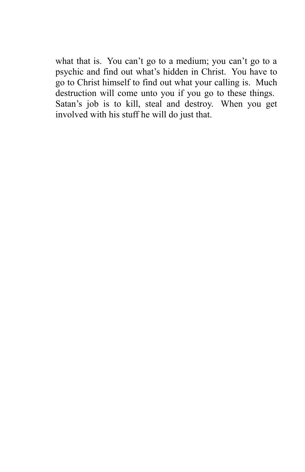what that is. You can't go to a medium; you can't go to a psychic and find out what's hidden in Christ. You have to go to Christ himself to find out what your calling is. Much destruction will come unto you if you go to these things. Satan's job is to kill, steal and destroy. When you get involved with his stuff he will do just that.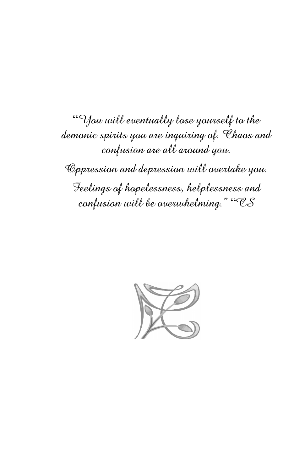"You will eventually lose yourself to the demonic spirits you are inquiring of. Chaos and confusion are all around you. Oppression and depression will overtake you. Feelings of hopelessness, helplessness and confusion will be overwhelming." "CS

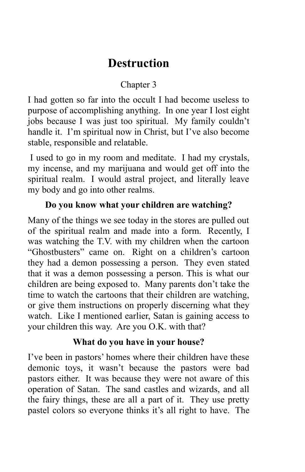## **Destruction**

## Chapter 3

I had gotten so far into the occult I had become useless to purpose of accomplishing anything. In one year I lost eight jobs because I was just too spiritual. My family couldn't handle it. I'm spiritual now in Christ, but I've also become stable, responsible and relatable.

I used to go in my room and meditate. I had my crystals, my incense, and my marijuana and would get off into the spiritual realm. I would astral project, and literally leave my body and go into other realms.

## **Do you know what your children are watching?**

Many of the things we see today in the stores are pulled out of the spiritual realm and made into a form. Recently, I was watching the T.V. with my children when the cartoon "Ghostbusters" came on. Right on a children's cartoon they had a demon possessing a person. They even stated that it was a demon possessing a person. This is what our children are being exposed to. Many parents don't take the time to watch the cartoons that their children are watching, or give them instructions on properly discerning what they watch. Like I mentioned earlier, Satan is gaining access to your children this way. Are you O.K. with that?

## **What do you have in your house?**

I've been in pastors' homes where their children have these demonic toys, it wasn't because the pastors were bad pastors either. It was because they were not aware of this operation of Satan. The sand castles and wizards, and all the fairy things, these are all a part of it. They use pretty pastel colors so everyone thinks it's all right to have. The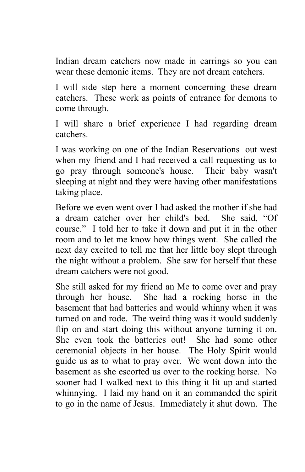Indian dream catchers now made in earrings so you can wear these demonic items. They are not dream catchers.

I will side step here a moment concerning these dream catchers. These work as points of entrance for demons to come through.

I will share a brief experience I had regarding dream catchers.

I was working on one of the Indian Reservations out west when my friend and I had received a call requesting us to go pray through someone's house. Their baby wasn't sleeping at night and they were having other manifestations taking place.

Before we even went over I had asked the mother if she had a dream catcher over her child's bed. She said, "Of course." I told her to take it down and put it in the other room and to let me know how things went. She called the next day excited to tell me that her little boy slept through the night without a problem. She saw for herself that these dream catchers were not good.

She still asked for my friend an Me to come over and pray through her house. She had a rocking horse in the basement that had batteries and would whinny when it was turned on and rode. The weird thing was it would suddenly flip on and start doing this without anyone turning it on. She even took the batteries out! She had some other ceremonial objects in her house. The Holy Spirit would guide us as to what to pray over. We went down into the basement as she escorted us over to the rocking horse. No sooner had I walked next to this thing it lit up and started whinnying. I laid my hand on it an commanded the spirit to go in the name of Jesus. Immediately it shut down. The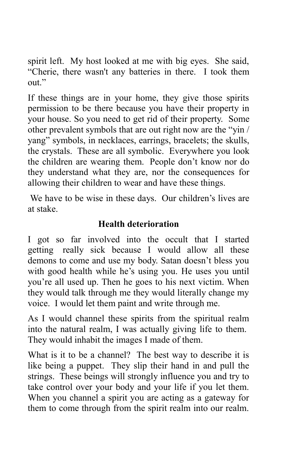spirit left. My host looked at me with big eyes. She said, "Cherie, there wasn't any batteries in there. I took them out."

If these things are in your home, they give those spirits permission to be there because you have their property in your house. So you need to get rid of their property. Some other prevalent symbols that are out right now are the "yin / yang" symbols, in necklaces, earrings, bracelets; the skulls, the crystals. These are all symbolic. Everywhere you look the children are wearing them. People don't know nor do they understand what they are, nor the consequences for allowing their children to wear and have these things.

We have to be wise in these days. Our children's lives are at stake.

## **Health deterioration**

I got so far involved into the occult that I started getting really sick because I would allow all these demons to come and use my body. Satan doesn't bless you with good health while he's using you. He uses you until you're all used up. Then he goes to his next victim. When they would talk through me they would literally change my voice. I would let them paint and write through me.

As I would channel these spirits from the spiritual realm into the natural realm, I was actually giving life to them. They would inhabit the images I made of them.

What is it to be a channel? The best way to describe it is like being a puppet. They slip their hand in and pull the strings. These beings will strongly influence you and try to take control over your body and your life if you let them. When you channel a spirit you are acting as a gateway for them to come through from the spirit realm into our realm.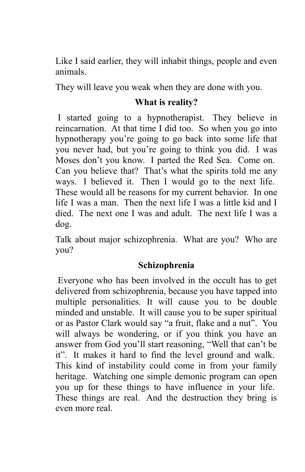Like I said earlier, they will inhabit things, people and even animals.

They will leave you weak when they are done with you.

#### **What is reality?**

I started going to a hypnotherapist. They believe in reincarnation. At that time I did too. So when you go into hypnotherapy you're going to go back into some life that you never had, but you're going to think you did. I was Moses don't you know. I parted the Red Sea. Come on. Can you believe that? That's what the spirits told me any ways. I believed it. Then I would go to the next life. These would all be reasons for my current behavior. In one life I was a man. Then the next life I was a little kid and I died. The next one I was and adult. The next life I was a dog.

Talk about major schizophrenia. What are you? Who are you?

## **Schizophrenia**

Everyone who has been involved in the occult has to get delivered from schizophrenia, because you have tapped into multiple personalities. It will cause you to be double minded and unstable. It will cause you to be super spiritual or as Pastor Clark would say "a fruit, flake and a nut". You will always be wondering, or if you think you have an answer from God you'll start reasoning, "Well that can't be it". It makes it hard to find the level ground and walk. This kind of instability could come in from your family heritage. Watching one simple demonic program can open you up for these things to have influence in your life. These things are real. And the destruction they bring is even more real.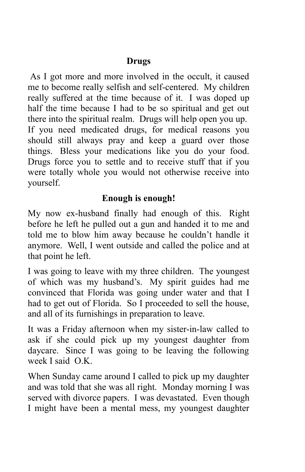## **Drugs**

As I got more and more involved in the occult, it caused me to become really selfish and self-centered. My children really suffered at the time because of it. I was doped up half the time because I had to be so spiritual and get out there into the spiritual realm. Drugs will help open you up. If you need medicated drugs, for medical reasons you should still always pray and keep a guard over those things. Bless your medications like you do your food. Drugs force you to settle and to receive stuff that if you were totally whole you would not otherwise receive into yourself.

## **Enough is enough!**

My now ex-husband finally had enough of this. Right before he left he pulled out a gun and handed it to me and told me to blow him away because he couldn't handle it anymore. Well, I went outside and called the police and at that point he left.

I was going to leave with my three children. The youngest of which was my husband's. My spirit guides had me convinced that Florida was going under water and that I had to get out of Florida. So I proceeded to sell the house, and all of its furnishings in preparation to leave.

It was a Friday afternoon when my sister-in-law called to ask if she could pick up my youngest daughter from daycare. Since I was going to be leaving the following week I said O.K.

When Sunday came around I called to pick up my daughter and was told that she was all right. Monday morning I was served with divorce papers. I was devastated. Even though I might have been a mental mess, my youngest daughter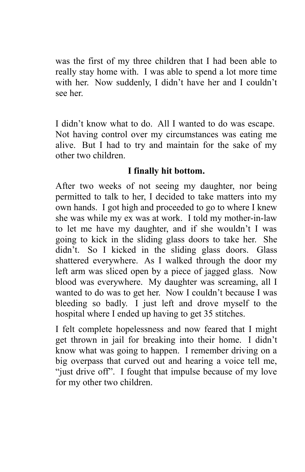was the first of my three children that I had been able to really stay home with. I was able to spend a lot more time with her. Now suddenly, I didn't have her and I couldn't see her.

I didn't know what to do. All I wanted to do was escape. Not having control over my circumstances was eating me alive. But I had to try and maintain for the sake of my other two children.

## **I finally hit bottom.**

After two weeks of not seeing my daughter, nor being permitted to talk to her, I decided to take matters into my own hands. I got high and proceeded to go to where I knew she was while my ex was at work. I told my mother-in-law to let me have my daughter, and if she wouldn't I was going to kick in the sliding glass doors to take her. She didn't. So I kicked in the sliding glass doors. Glass shattered everywhere. As I walked through the door my left arm was sliced open by a piece of jagged glass. Now blood was everywhere. My daughter was screaming, all I wanted to do was to get her. Now I couldn't because I was bleeding so badly. I just left and drove myself to the hospital where I ended up having to get 35 stitches.

I felt complete hopelessness and now feared that I might get thrown in jail for breaking into their home. I didn't know what was going to happen. I remember driving on a big overpass that curved out and hearing a voice tell me, "just drive off". I fought that impulse because of my love for my other two children.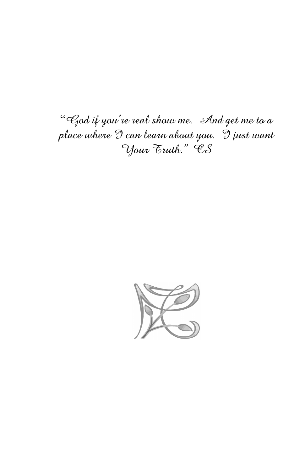"God if you're real show me. And get me to a place where  $\Im$  can learn about you.  $\Im$  just want Your Truth." CS

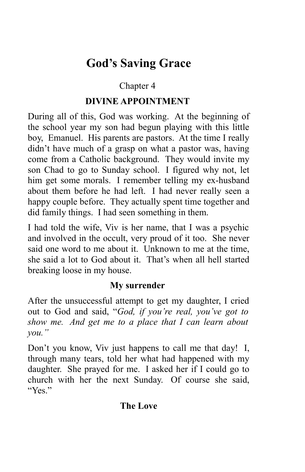## **God's Saving Grace**

## Chapter 4

## **DIVINE APPOINTMENT**

During all of this, God was working. At the beginning of the school year my son had begun playing with this little boy, Emanuel. His parents are pastors. At the time I really didn't have much of a grasp on what a pastor was, having come from a Catholic background. They would invite my son Chad to go to Sunday school. I figured why not, let him get some morals. I remember telling my ex-husband about them before he had left. I had never really seen a happy couple before. They actually spent time together and did family things. I had seen something in them.

I had told the wife, Viv is her name, that I was a psychic and involved in the occult, very proud of it too. She never said one word to me about it. Unknown to me at the time, she said a lot to God about it. That's when all hell started breaking loose in my house.

## **My surrender**

After the unsuccessful attempt to get my daughter, I cried out to God and said, "*God, if you're real, you've got to show me. And get me to a place that I can learn about you."*

Don't you know, Viv just happens to call me that day! I, through many tears, told her what had happened with my daughter. She prayed for me. I asked her if I could go to church with her the next Sunday. Of course she said, "Yes."

## **The Love**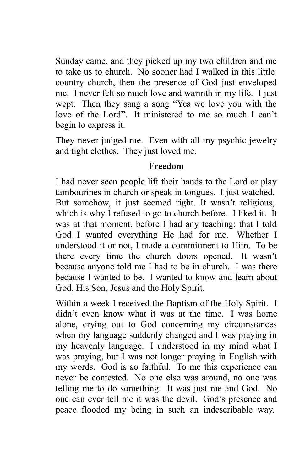Sunday came, and they picked up my two children and me to take us to church. No sooner had I walked in this little country church, then the presence of God just enveloped me. I never felt so much love and warmth in my life. I just wept. Then they sang a song "Yes we love you with the love of the Lord". It ministered to me so much I can't begin to express it.

They never judged me. Even with all my psychic jewelry and tight clothes. They just loved me.

#### **Freedom**

I had never seen people lift their hands to the Lord or play tambourines in church or speak in tongues. I just watched. But somehow, it just seemed right. It wasn't religious, which is why I refused to go to church before. I liked it. It was at that moment, before I had any teaching; that I told God I wanted everything He had for me. Whether I understood it or not, I made a commitment to Him. To be there every time the church doors opened. It wasn't because anyone told me I had to be in church. I was there because I wanted to be. I wanted to know and learn about God, His Son, Jesus and the Holy Spirit.

Within a week I received the Baptism of the Holy Spirit. I didn't even know what it was at the time. I was home alone, crying out to God concerning my circumstances when my language suddenly changed and I was praying in my heavenly language. I understood in my mind what I was praying, but I was not longer praying in English with my words. God is so faithful. To me this experience can never be contested. No one else was around, no one was telling me to do something. It was just me and God. No one can ever tell me it was the devil. God's presence and peace flooded my being in such an indescribable way.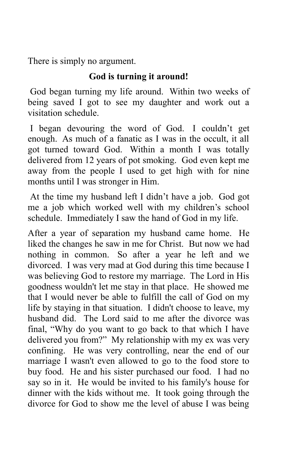There is simply no argument.

## **God is turning it around!**

God began turning my life around. Within two weeks of being saved I got to see my daughter and work out a visitation schedule.

I began devouring the word of God. I couldn't get enough. As much of a fanatic as I was in the occult, it all got turned toward God. Within a month I was totally delivered from 12 years of pot smoking. God even kept me away from the people I used to get high with for nine months until I was stronger in Him.

At the time my husband left I didn't have a job. God got me a job which worked well with my children's school schedule. Immediately I saw the hand of God in my life.

After a year of separation my husband came home. He liked the changes he saw in me for Christ. But now we had nothing in common. So after a year he left and we divorced. I was very mad at God during this time because I was believing God to restore my marriage. The Lord in His goodness wouldn't let me stay in that place. He showed me that I would never be able to fulfill the call of God on my life by staying in that situation. I didn't choose to leave, my husband did. The Lord said to me after the divorce was final, "Why do you want to go back to that which I have delivered you from?" My relationship with my ex was very confining. He was very controlling, near the end of our marriage I wasn't even allowed to go to the food store to buy food. He and his sister purchased our food. I had no say so in it. He would be invited to his family's house for dinner with the kids without me. It took going through the divorce for God to show me the level of abuse I was being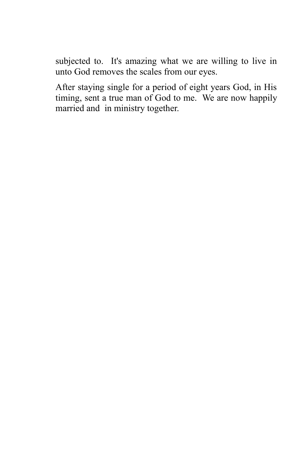subjected to. It's amazing what we are willing to live in unto God removes the scales from our eyes.

After staying single for a period of eight years God, in His timing, sent a true man of God to me. We are now happily married and in ministry together.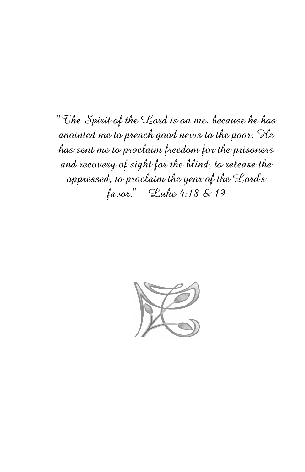"The Spirit of the Lord is on me, because he has anointed me to preach good news to the poor. He has sent me to proclaim freedom for the prisoners and recovery of sight for the blind, to release the oppressed, to proclaim the year of the Lord's favor." Luke 4:18 & 19

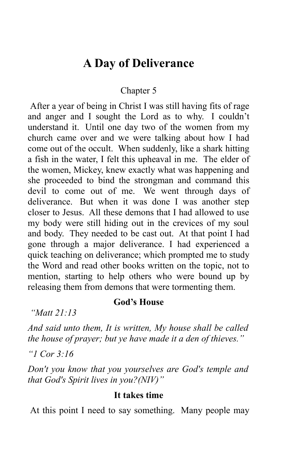## **A Day of Deliverance**

#### Chapter 5

After a year of being in Christ I was still having fits of rage and anger and I sought the Lord as to why. I couldn't understand it. Until one day two of the women from my church came over and we were talking about how I had come out of the occult. When suddenly, like a shark hitting a fish in the water, I felt this upheaval in me. The elder of the women, Mickey, knew exactly what was happening and she proceeded to bind the strongman and command this devil to come out of me. We went through days of deliverance. But when it was done I was another step closer to Jesus. All these demons that I had allowed to use my body were still hiding out in the crevices of my soul and body. They needed to be cast out. At that point I had gone through a major deliverance. I had experienced a quick teaching on deliverance; which prompted me to study the Word and read other books written on the topic, not to mention, starting to help others who were bound up by releasing them from demons that were tormenting them.

#### **God's House**

*"Matt 21:13*

*And said unto them, It is written, My house shall be called the house of prayer; but ye have made it a den of thieves."*

*"1 Cor 3:16*

*Don't you know that you yourselves are God's temple and that God's Spirit lives in you?(NIV)"*

#### **It takes time**

At this point I need to say something. Many people may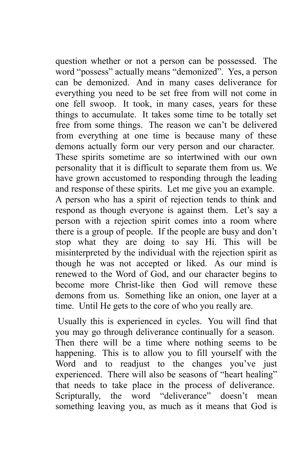question whether or not a person can be possessed. The word "possess" actually means "demonized". Yes, a person can be demonized. And in many cases deliverance for everything you need to be set free from will not come in one fell swoop. It took, in many cases, years for these things to accumulate. It takes some time to be totally set free from some things. The reason we can't be delivered from everything at one time is because many of these demons actually form our very person and our character. These spirits sometime are so intertwined with our own personality that it is difficult to separate them from us. We have grown accustomed to responding through the leading and response of these spirits. Let me give you an example. A person who has a spirit of rejection tends to think and respond as though everyone is against them. Let's say a person with a rejection spirit comes into a room where there is a group of people. If the people are busy and don't stop what they are doing to say Hi. This will be misinterpreted by the individual with the rejection spirit as though he was not accepted or liked. As our mind is renewed to the Word of God, and our character begins to become more Christ-like then God will remove these demons from us. Something like an onion, one layer at a time. Until He gets to the core of who you really are.

Usually this is experienced in cycles. You will find that you may go through deliverance continually for a season. Then there will be a time where nothing seems to be happening. This is to allow you to fill yourself with the Word and to readjust to the changes you've just experienced. There will also be seasons of "heart healing" that needs to take place in the process of deliverance. Scripturally, the word "deliverance" doesn't mean something leaving you, as much as it means that God is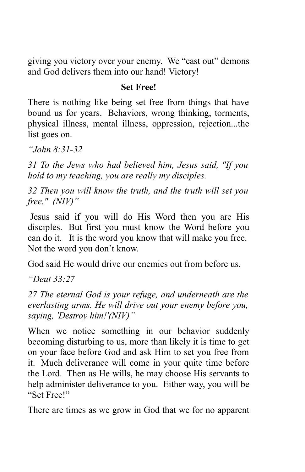giving you victory over your enemy. We "cast out" demons and God delivers them into our hand! Victory!

#### **Set Free!**

There is nothing like being set free from things that have bound us for years. Behaviors, wrong thinking, torments, physical illness, mental illness, oppression, rejection...the list goes on.

*"John 8:31-32*

*31 To the Jews who had believed him, Jesus said, "If you hold to my teaching, you are really my disciples.*

*32 Then you will know the truth, and the truth will set you free." (NIV)"*

Jesus said if you will do His Word then you are His disciples. But first you must know the Word before you can do it. It is the word you know that will make you free. Not the word you don't know.

God said He would drive our enemies out from before us.

*"Deut 33:27*

*27 The eternal God is your refuge, and underneath are the everlasting arms. He will drive out your enemy before you, saying, 'Destroy him!'(NIV)"*

When we notice something in our behavior suddenly becoming disturbing to us, more than likely it is time to get on your face before God and ask Him to set you free from it. Much deliverance will come in your quite time before the Lord. Then as He wills, he may choose His servants to help administer deliverance to you. Either way, you will be "Set Free!"

There are times as we grow in God that we for no apparent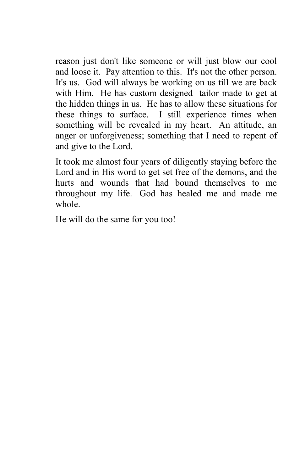reason just don't like someone or will just blow our cool and loose it. Pay attention to this. It's not the other person. It's us. God will always be working on us till we are back with Him. He has custom designed tailor made to get at the hidden things in us. He has to allow these situations for these things to surface. I still experience times when something will be revealed in my heart. An attitude, an anger or unforgiveness; something that I need to repent of and give to the Lord.

It took me almost four years of diligently staying before the Lord and in His word to get set free of the demons, and the hurts and wounds that had bound themselves to me throughout my life. God has healed me and made me whole.

He will do the same for you too!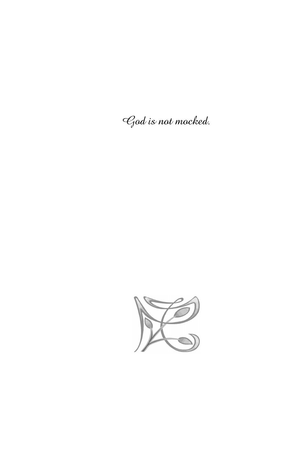God is not mocked.

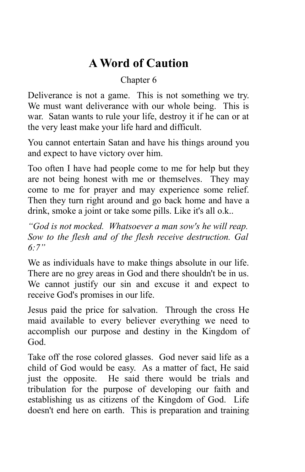## **A Word of Caution**

## Chapter 6

Deliverance is not a game. This is not something we try. We must want deliverance with our whole being. This is war. Satan wants to rule your life, destroy it if he can or at the very least make your life hard and difficult.

You cannot entertain Satan and have his things around you and expect to have victory over him.

Too often I have had people come to me for help but they are not being honest with me or themselves. They may come to me for prayer and may experience some relief. Then they turn right around and go back home and have a drink, smoke a joint or take some pills. Like it's all o.k..

*"God is not mocked. Whatsoever a man sow's he will reap. Sow to the flesh and of the flesh receive destruction. Gal 6:7"*

We as individuals have to make things absolute in our life. There are no grey areas in God and there shouldn't be in us. We cannot justify our sin and excuse it and expect to receive God's promises in our life.

Jesus paid the price for salvation. Through the cross He maid available to every believer everything we need to accomplish our purpose and destiny in the Kingdom of God.

Take off the rose colored glasses. God never said life as a child of God would be easy. As a matter of fact, He said just the opposite. He said there would be trials and tribulation for the purpose of developing our faith and establishing us as citizens of the Kingdom of God. Life doesn't end here on earth. This is preparation and training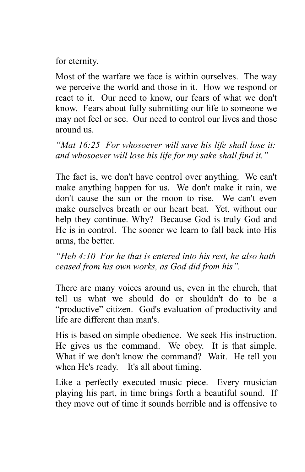for eternity.

Most of the warfare we face is within ourselves. The way we perceive the world and those in it. How we respond or react to it. Our need to know, our fears of what we don't know. Fears about fully submitting our life to someone we may not feel or see. Our need to control our lives and those around us.

*"Mat 16:25 For whosoever will save his life shall lose it: and whosoever will lose his life for my sake shall find it."*

The fact is, we don't have control over anything. We can't make anything happen for us. We don't make it rain, we don't cause the sun or the moon to rise. We can't even make ourselves breath or our heart beat. Yet, without our help they continue. Why? Because God is truly God and He is in control. The sooner we learn to fall back into His arms, the better.

*"Heb 4:10 For he that is entered into his rest, he also hath ceased from his own works, as God did from his".*

There are many voices around us, even in the church, that tell us what we should do or shouldn't do to be a "productive" citizen. God's evaluation of productivity and life are different than man's.

His is based on simple obedience. We seek His instruction. He gives us the command. We obey. It is that simple. What if we don't know the command? Wait. He tell you when He's ready. It's all about timing.

Like a perfectly executed music piece. Every musician playing his part, in time brings forth a beautiful sound. If they move out of time it sounds horrible and is offensive to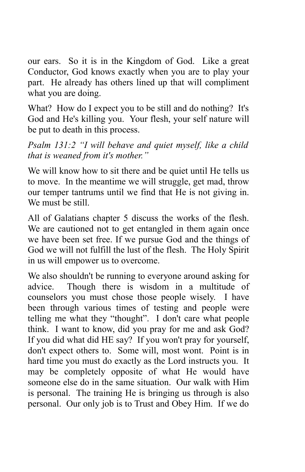our ears. So it is in the Kingdom of God. Like a great Conductor, God knows exactly when you are to play your part. He already has others lined up that will compliment what you are doing.

What? How do I expect you to be still and do nothing? It's God and He's killing you. Your flesh, your self nature will be put to death in this process.

*Psalm 131:2 "I will behave and quiet myself, like a child that is weaned from it's mother."*

We will know how to sit there and be quiet until He tells us to move. In the meantime we will struggle, get mad, throw our temper tantrums until we find that He is not giving in. We must be still.

All of Galatians chapter 5 discuss the works of the flesh. We are cautioned not to get entangled in them again once we have been set free. If we pursue God and the things of God we will not fulfill the lust of the flesh. The Holy Spirit in us will empower us to overcome.

We also shouldn't be running to everyone around asking for advice. Though there is wisdom in a multitude of counselors you must chose those people wisely. I have been through various times of testing and people were telling me what they "thought". I don't care what people think. I want to know, did you pray for me and ask God? If you did what did HE say? If you won't pray for yourself, don't expect others to. Some will, most wont. Point is in hard time you must do exactly as the Lord instructs you. It may be completely opposite of what He would have someone else do in the same situation. Our walk with Him is personal. The training He is bringing us through is also personal. Our only job is to Trust and Obey Him. If we do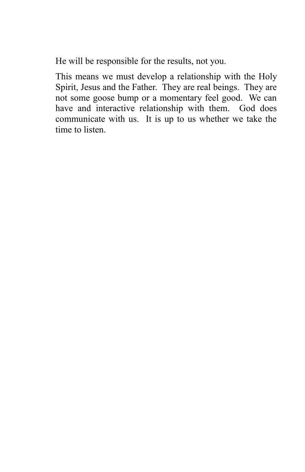He will be responsible for the results, not you.

This means we must develop a relationship with the Holy Spirit, Jesus and the Father. They are real beings. They are not some goose bump or a momentary feel good. We can have and interactive relationship with them. God does communicate with us. It is up to us whether we take the time to listen.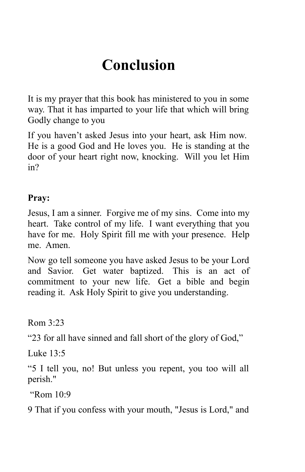# **Conclusion**

It is my prayer that this book has ministered to you in some way. That it has imparted to your life that which will bring Godly change to you

If you haven't asked Jesus into your heart, ask Him now. He is a good God and He loves you. He is standing at the door of your heart right now, knocking. Will you let Him in?

#### **Pray:**

Jesus, I am a sinner. Forgive me of my sins. Come into my heart. Take control of my life. I want everything that you have for me. Holy Spirit fill me with your presence. Help me. Amen.

Now go tell someone you have asked Jesus to be your Lord and Savior. Get water baptized. This is an act of commitment to your new life. Get a bible and begin reading it. Ask Holy Spirit to give you understanding.

 $Ram 3:23$ 

"23 for all have sinned and fall short of the glory of God,"

Luke 13:5

"5 I tell you, no! But unless you repent, you too will all perish."

"Rom 10:9

9 That if you confess with your mouth, "Jesus is Lord," and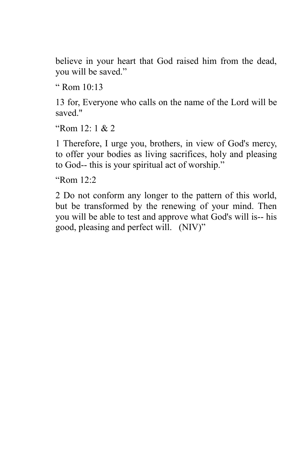believe in your heart that God raised him from the dead, you will be saved."

" Rom 10:13

13 for, Everyone who calls on the name of the Lord will be saved."

"Rom  $12:1 & 2$ 

1 Therefore, I urge you, brothers, in view of God's mercy, to offer your bodies as living sacrifices, holy and pleasing to God-- this is your spiritual act of worship."

"Rom 12:2

2 Do not conform any longer to the pattern of this world, but be transformed by the renewing of your mind. Then you will be able to test and approve what God's will is-- his good, pleasing and perfect will. (NIV)"